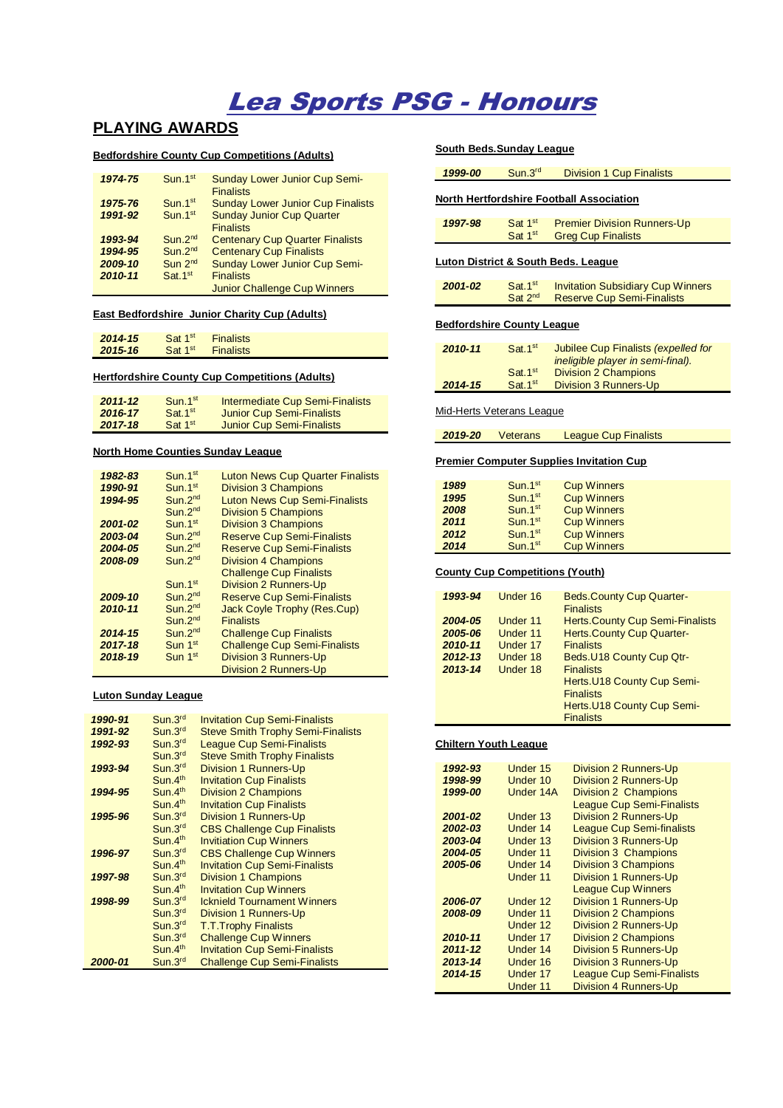# Lea Sports PSG - Honours

i<br>L

# **PLAYING AWARDS**

#### **Bedfordshire County Cup Competitions (Adults)**

| 1974-75 | Sum.1 <sup>st</sup>  | <b>Sunday Lower Junior Cup Semi-</b><br><b>Finalists</b> |
|---------|----------------------|----------------------------------------------------------|
| 1975-76 | Sum.1 <sup>st</sup>  | <b>Sunday Lower Junior Cup Finalists</b>                 |
| 1991-92 | Sum.1 <sup>st</sup>  | <b>Sunday Junior Cup Quarter</b>                         |
|         |                      | <b>Finalists</b>                                         |
| 1993-94 | Sun.2 <sup>nd</sup>  | <b>Centenary Cup Quarter Finalists</b>                   |
| 1994-95 | Sun.2 <sup>nd</sup>  | <b>Centenary Cup Finalists</b>                           |
| 2009-10 | Sum 2 <sup>nd</sup>  | <b>Sunday Lower Junior Cup Semi-</b>                     |
| 2010-11 | Sat. 1 <sup>st</sup> | <b>Finalists</b>                                         |
|         |                      | <b>Junior Challenge Cup Winners</b>                      |

#### **East Bedfordshire Junior Charity Cup (Adults)**

| 2014-15 | Sat 1 <sup>st</sup> | <b>Finalists</b> |
|---------|---------------------|------------------|
| 2015-16 | Sat 1 <sup>st</sup> | <b>Finalists</b> |

## **Hertfordshire County Cup Competitions (Adults)**

| $2011 - 12$ | Sun.1 <sup>st</sup> | Intermediate Cup Semi-Finalists  |
|-------------|---------------------|----------------------------------|
| 2016-17     | Sat.1 <sup>st</sup> | <b>Junior Cup Semi-Finalists</b> |
| 2017-18     | Sat 1 <sup>st</sup> | Junior Cup Semi-Finalists        |

#### **North Home Counties Sunday League**

| 1982-83 | Sun.1 <sup>st</sup> | <b>Luton News Cup Quarter Finalists</b> |
|---------|---------------------|-----------------------------------------|
| 1990-91 | Sun.1 <sup>st</sup> | <b>Division 3 Champions</b>             |
| 1994-95 | Sun.2 <sup>nd</sup> | <b>Luton News Cup Semi-Finalists</b>    |
|         | Sun.2 <sup>nd</sup> | <b>Division 5 Champions</b>             |
| 2001-02 | Sun.1 <sup>st</sup> | <b>Division 3 Champions</b>             |
| 2003-04 | Sun.2 <sup>nd</sup> | <b>Reserve Cup Semi-Finalists</b>       |
| 2004-05 | Sun.2 <sup>nd</sup> | <b>Reserve Cup Semi-Finalists</b>       |
| 2008-09 | Sun.2 <sup>nd</sup> | <b>Division 4 Champions</b>             |
|         |                     | <b>Challenge Cup Finalists</b>          |
|         | Sun.1 <sup>st</sup> | Division 2 Runners-Up                   |
| 2009-10 | Sun.2 <sup>nd</sup> | <b>Reserve Cup Semi-Finalists</b>       |
| 2010-11 | Sun.2 <sup>nd</sup> | Jack Covle Trophy (Res.Cup)             |
|         | Sun.2 <sup>nd</sup> | <b>Finalists</b>                        |
| 2014-15 | Sun.2 <sup>nd</sup> | <b>Challenge Cup Finalists</b>          |
| 2017-18 | Sun 1 <sup>st</sup> | <b>Challenge Cup Semi-Finalists</b>     |
| 2018-19 | Sun 1 <sup>st</sup> | Division 3 Runners-Up                   |
|         |                     | Division 2 Runners-Up                   |

#### **Luton Sunday League**

| Sum.3 <sup>rd</sup><br>1990-91<br><b>Invitation Cup Semi-Finalists</b><br>Sum.3 <sup>rd</sup><br><b>Steve Smith Trophy Semi-Finalists</b><br>1991-92<br>Sun.3 <sup>rd</sup><br><b>League Cup Semi-Finalists</b><br>1992-93<br>Sun.3 <sup>rd</sup><br><b>Steve Smith Trophy Finalists</b><br>Sum.3 <sup>rd</sup><br>Division 1 Runners-Up<br>1993-94<br>Sum.4 <sup>th</sup><br><b>Invitation Cup Finalists</b><br>Sun.4th<br>1994-95<br>Division 2 Champions<br>Sum.4 <sup>th</sup><br><b>Invitation Cup Finalists</b><br>Sun.3 <sup>rd</sup><br>Division 1 Runners-Up<br>1995-96<br>Sum.3 <sup>rd</sup><br><b>CBS Challenge Cup Finalists</b><br>Sum.4 <sup>th</sup><br><b>Invitiation Cup Winners</b><br>Sun.3 <sup>rd</sup><br><b>CBS Challenge Cup Winners</b><br>1996-97<br>Sum.4 <sup>th</sup><br><b>Invitation Cup Semi-Finalists</b><br>Sum.3 <sup>rd</sup><br><b>Division 1 Champions</b><br>1997-98<br>Sum.4 <sup>th</sup><br><b>Invitation Cup Winners</b><br>Sun.3 <sup>rd</sup><br><b>Icknield Tournament Winners</b><br>1998-99<br>Sun.3 <sup>rd</sup><br>Division 1 Runners-Up<br>Sun.3 <sup>rd</sup><br><b>T.T.Trophy Finalists</b><br>Sum.3 <sup>rd</sup><br><b>Challenge Cup Winners</b><br>Sum.4 <sup>th</sup><br><b>Invitation Cup Semi-Finalists</b><br><b>Challenge Cup Semi-Finalists</b><br>Sun.3 <sup>rd</sup><br>2000-01 |  |  |  |
|---------------------------------------------------------------------------------------------------------------------------------------------------------------------------------------------------------------------------------------------------------------------------------------------------------------------------------------------------------------------------------------------------------------------------------------------------------------------------------------------------------------------------------------------------------------------------------------------------------------------------------------------------------------------------------------------------------------------------------------------------------------------------------------------------------------------------------------------------------------------------------------------------------------------------------------------------------------------------------------------------------------------------------------------------------------------------------------------------------------------------------------------------------------------------------------------------------------------------------------------------------------------------------------------------------------------------------------------------|--|--|--|
|                                                                                                                                                                                                                                                                                                                                                                                                                                                                                                                                                                                                                                                                                                                                                                                                                                                                                                                                                                                                                                                                                                                                                                                                                                                                                                                                                   |  |  |  |
|                                                                                                                                                                                                                                                                                                                                                                                                                                                                                                                                                                                                                                                                                                                                                                                                                                                                                                                                                                                                                                                                                                                                                                                                                                                                                                                                                   |  |  |  |
|                                                                                                                                                                                                                                                                                                                                                                                                                                                                                                                                                                                                                                                                                                                                                                                                                                                                                                                                                                                                                                                                                                                                                                                                                                                                                                                                                   |  |  |  |
|                                                                                                                                                                                                                                                                                                                                                                                                                                                                                                                                                                                                                                                                                                                                                                                                                                                                                                                                                                                                                                                                                                                                                                                                                                                                                                                                                   |  |  |  |
|                                                                                                                                                                                                                                                                                                                                                                                                                                                                                                                                                                                                                                                                                                                                                                                                                                                                                                                                                                                                                                                                                                                                                                                                                                                                                                                                                   |  |  |  |
|                                                                                                                                                                                                                                                                                                                                                                                                                                                                                                                                                                                                                                                                                                                                                                                                                                                                                                                                                                                                                                                                                                                                                                                                                                                                                                                                                   |  |  |  |
|                                                                                                                                                                                                                                                                                                                                                                                                                                                                                                                                                                                                                                                                                                                                                                                                                                                                                                                                                                                                                                                                                                                                                                                                                                                                                                                                                   |  |  |  |
|                                                                                                                                                                                                                                                                                                                                                                                                                                                                                                                                                                                                                                                                                                                                                                                                                                                                                                                                                                                                                                                                                                                                                                                                                                                                                                                                                   |  |  |  |
|                                                                                                                                                                                                                                                                                                                                                                                                                                                                                                                                                                                                                                                                                                                                                                                                                                                                                                                                                                                                                                                                                                                                                                                                                                                                                                                                                   |  |  |  |
|                                                                                                                                                                                                                                                                                                                                                                                                                                                                                                                                                                                                                                                                                                                                                                                                                                                                                                                                                                                                                                                                                                                                                                                                                                                                                                                                                   |  |  |  |
|                                                                                                                                                                                                                                                                                                                                                                                                                                                                                                                                                                                                                                                                                                                                                                                                                                                                                                                                                                                                                                                                                                                                                                                                                                                                                                                                                   |  |  |  |
|                                                                                                                                                                                                                                                                                                                                                                                                                                                                                                                                                                                                                                                                                                                                                                                                                                                                                                                                                                                                                                                                                                                                                                                                                                                                                                                                                   |  |  |  |
|                                                                                                                                                                                                                                                                                                                                                                                                                                                                                                                                                                                                                                                                                                                                                                                                                                                                                                                                                                                                                                                                                                                                                                                                                                                                                                                                                   |  |  |  |
|                                                                                                                                                                                                                                                                                                                                                                                                                                                                                                                                                                                                                                                                                                                                                                                                                                                                                                                                                                                                                                                                                                                                                                                                                                                                                                                                                   |  |  |  |
|                                                                                                                                                                                                                                                                                                                                                                                                                                                                                                                                                                                                                                                                                                                                                                                                                                                                                                                                                                                                                                                                                                                                                                                                                                                                                                                                                   |  |  |  |
|                                                                                                                                                                                                                                                                                                                                                                                                                                                                                                                                                                                                                                                                                                                                                                                                                                                                                                                                                                                                                                                                                                                                                                                                                                                                                                                                                   |  |  |  |
|                                                                                                                                                                                                                                                                                                                                                                                                                                                                                                                                                                                                                                                                                                                                                                                                                                                                                                                                                                                                                                                                                                                                                                                                                                                                                                                                                   |  |  |  |
|                                                                                                                                                                                                                                                                                                                                                                                                                                                                                                                                                                                                                                                                                                                                                                                                                                                                                                                                                                                                                                                                                                                                                                                                                                                                                                                                                   |  |  |  |
|                                                                                                                                                                                                                                                                                                                                                                                                                                                                                                                                                                                                                                                                                                                                                                                                                                                                                                                                                                                                                                                                                                                                                                                                                                                                                                                                                   |  |  |  |
|                                                                                                                                                                                                                                                                                                                                                                                                                                                                                                                                                                                                                                                                                                                                                                                                                                                                                                                                                                                                                                                                                                                                                                                                                                                                                                                                                   |  |  |  |
|                                                                                                                                                                                                                                                                                                                                                                                                                                                                                                                                                                                                                                                                                                                                                                                                                                                                                                                                                                                                                                                                                                                                                                                                                                                                                                                                                   |  |  |  |

# **South Beds.Sunday League**

| 1999-00                                         | Sun.3 <sup>rd</sup>                                                                               | <b>Division 1 Cup Finalists</b> |  |
|-------------------------------------------------|---------------------------------------------------------------------------------------------------|---------------------------------|--|
|                                                 |                                                                                                   |                                 |  |
| <b>North Hertfordshire Football Association</b> |                                                                                                   |                                 |  |
| 1997-98                                         | Sat 1 <sup>st</sup><br><b>Premier Division Runners-Up</b><br>Sat 1st<br><b>Greg Cup Finalists</b> |                                 |  |
| Luton District & South Beds. League             |                                                                                                   |                                 |  |

| 2001-02 | Sat.1 <sup>st</sup> Invitation Subsidiary Cup Winners |
|---------|-------------------------------------------------------|
|         | Sat 2 <sup>nd</sup> Reserve Cup Semi-Finalists        |

#### **Bedfordshire County League**

| 2010-11     | Sat. 1 <sup>st</sup> | Jubilee Cup Finalists (expelled for<br>ineligible player in semi-final). |
|-------------|----------------------|--------------------------------------------------------------------------|
|             | Sat.1 <sup>st</sup>  | <b>Division 2 Champions</b>                                              |
| $2014 - 15$ | Sat.1 <sup>st</sup>  | Division 3 Runners-Up                                                    |

## Mid-Herts Veterans League

**2019-20** Veterans League Cup Finalists

#### **Premier Computer Supplies Invitation Cup**

| 1989 | Sun.1 <sup>st</sup> | <b>Cup Winners</b> |  |
|------|---------------------|--------------------|--|
| 1995 | Sun.1 <sup>st</sup> | <b>Cup Winners</b> |  |
| 2008 | Sun.1 <sup>st</sup> | <b>Cup Winners</b> |  |
| 2011 | Sum.1 <sup>st</sup> | <b>Cup Winners</b> |  |
| 2012 | Sun.1st             | <b>Cup Winners</b> |  |
| 2014 | Sum.1 <sup>st</sup> | <b>Cup Winners</b> |  |

#### **County Cup Competitions (Youth)**

| 1993-94     | Under 16 | <b>Beds.County Cup Quarter-</b><br><b>Finalists</b> |
|-------------|----------|-----------------------------------------------------|
| 2004-05     | Under 11 | <b>Herts.County Cup Semi-Finalists</b>              |
| 2005-06     | Under 11 | <b>Herts.County Cup Quarter-</b>                    |
| 2010-11     | Under 17 | <b>Finalists</b>                                    |
| $2012 - 13$ | Under 18 | Beds.U18 County Cup Qtr-                            |
| 2013-14     | Under 18 | <b>Finalists</b>                                    |
|             |          | Herts.U18 County Cup Semi-                          |
|             |          | <b>Finalists</b>                                    |
|             |          | Herts.U18 County Cup Semi-                          |
|             |          | <b>Finalists</b>                                    |

# **Chiltern Youth League**

| 1992-93     | Under 15  | Division 2 Runners-Up            |
|-------------|-----------|----------------------------------|
| 1998-99     | Under 10  | <b>Division 2 Runners-Up</b>     |
| 1999-00     | Under 14A | <b>Division 2 Champions</b>      |
|             |           | <b>League Cup Semi-Finalists</b> |
| 2001-02     | Under 13  | <b>Division 2 Runners-Up</b>     |
| 2002-03     | Under 14  | <b>League Cup Semi-finalists</b> |
| 2003-04     | Under 13  | <b>Division 3 Runners-Up</b>     |
| 2004-05     | Under 11  | <b>Division 3 Champions</b>      |
| 2005-06     | Under 14  | <b>Division 3 Champions</b>      |
|             | Under 11  | Division 1 Runners-Up            |
|             |           | <b>League Cup Winners</b>        |
| 2006-07     | Under 12  | Division 1 Runners-Up            |
| 2008-09     | Under 11  | <b>Division 2 Champions</b>      |
|             | Under 12  | <b>Division 2 Runners-Up</b>     |
| 2010-11     | Under 17  | <b>Division 2 Champions</b>      |
| $2011 - 12$ | Under 14  | Division 5 Runners-Up            |
| 2013-14     | Under 16  | <b>Division 3 Runners-Up</b>     |
| 2014-15     | Under 17  | <b>League Cup Semi-Finalists</b> |
|             | Under 11  | <b>Division 4 Runners-Up</b>     |